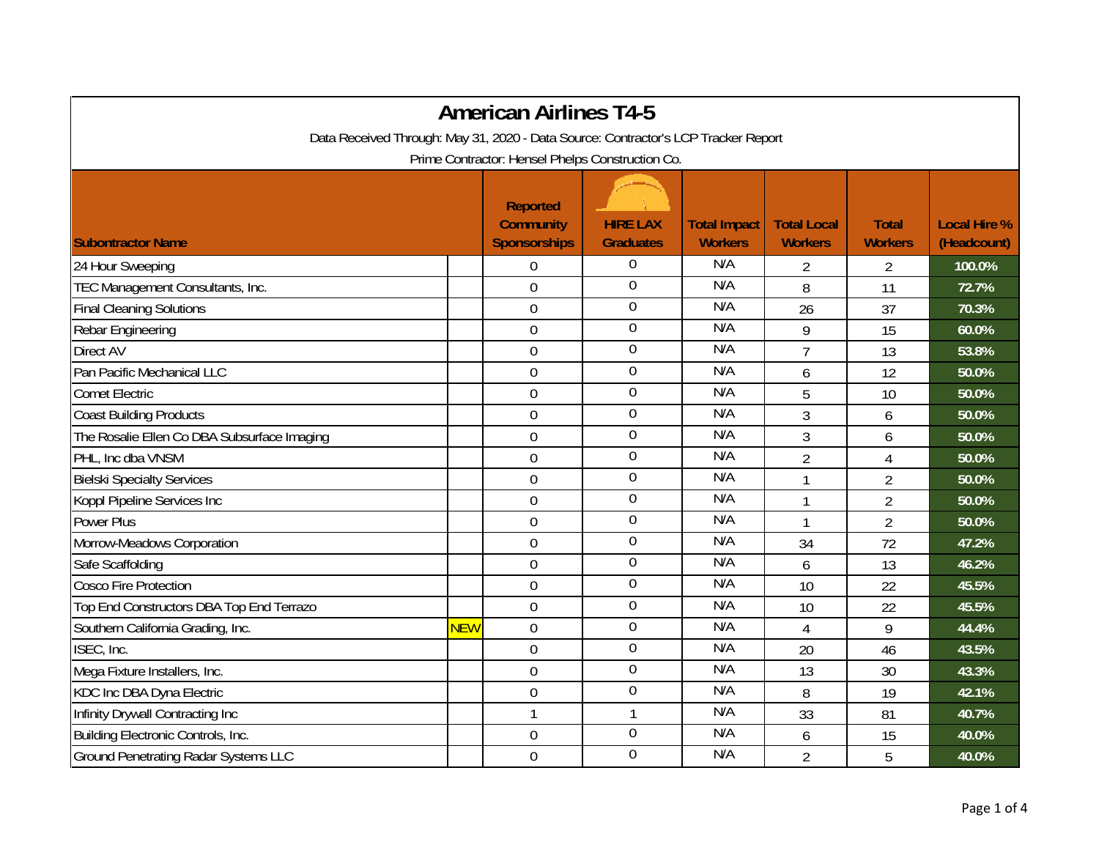|                                                                                    |            | <b>American Airlines T4-5</b>                              |                                     |                                       |                                      |                                |                                    |
|------------------------------------------------------------------------------------|------------|------------------------------------------------------------|-------------------------------------|---------------------------------------|--------------------------------------|--------------------------------|------------------------------------|
| Data Received Through: May 31, 2020 - Data Source: Contractor's LCP Tracker Report |            |                                                            |                                     |                                       |                                      |                                |                                    |
|                                                                                    |            | Prime Contractor: Hensel Phelps Construction Co.           |                                     |                                       |                                      |                                |                                    |
| <b>Subontractor Name</b>                                                           |            | <b>Reported</b><br><b>Community</b><br><b>Sponsorships</b> | <b>HIRE LAX</b><br><b>Graduates</b> | <b>Total Impact</b><br><b>Workers</b> | <b>Total Local</b><br><b>Workers</b> | <b>Total</b><br><b>Workers</b> | <b>Local Hire %</b><br>(Headcount) |
|                                                                                    |            |                                                            | $\overline{0}$                      | N/A                                   |                                      |                                |                                    |
| 24 Hour Sweeping                                                                   |            | $\overline{0}$                                             | $\boldsymbol{0}$                    | N/A                                   | 2                                    | $\overline{2}$                 | 100.0%                             |
| TEC Management Consultants, Inc.                                                   |            | $\mathbf 0$                                                | $\mathbf 0$                         | N/A                                   | 8                                    | 11                             | 72.7%                              |
| <b>Final Cleaning Solutions</b>                                                    |            | 0                                                          | $\overline{0}$                      | N/A                                   | 26                                   | 37                             | 70.3%                              |
| Rebar Engineering                                                                  |            | $\boldsymbol{0}$                                           |                                     | N/A                                   | 9                                    | 15                             | 60.0%                              |
| Direct AV                                                                          |            | $\mathbf 0$                                                | $\boldsymbol{0}$                    |                                       | $\overline{7}$                       | 13                             | 53.8%                              |
| Pan Pacific Mechanical LLC                                                         |            | $\overline{0}$                                             | $\mathbf 0$                         | N/A                                   | 6                                    | 12                             | 50.0%                              |
| <b>Comet Electric</b>                                                              |            | $\mathbf 0$                                                | $\mathbf 0$                         | N/A                                   | 5                                    | 10                             | 50.0%                              |
| <b>Coast Building Products</b>                                                     |            | $\mathbf 0$                                                | $\boldsymbol{0}$                    | N/A                                   | 3                                    | 6                              | 50.0%                              |
| The Rosalie Ellen Co DBA Subsurface Imaging                                        |            | $\mathbf 0$                                                | $\mathbf 0$                         | N/A                                   | 3                                    | 6                              | 50.0%                              |
| PHL, Inc dba VNSM                                                                  |            | $\mathbf 0$                                                | $\boldsymbol{0}$                    | N/A                                   | $\overline{2}$                       | 4                              | 50.0%                              |
| <b>Bielski Specialty Services</b>                                                  |            | $\mathbf 0$                                                | $\boldsymbol{0}$                    | N/A                                   | 1                                    | $\overline{2}$                 | 50.0%                              |
| Koppl Pipeline Services Inc                                                        |            | $\mathbf 0$                                                | $\overline{0}$                      | N/A                                   | $\mathbf 1$                          | $\overline{2}$                 | 50.0%                              |
| Power Plus                                                                         |            | $\mathbf 0$                                                | $\boldsymbol{0}$                    | N/A                                   |                                      | $\overline{2}$                 | 50.0%                              |
| Morrow-Meadows Corporation                                                         |            | $\mathbf 0$                                                | $\mathbf 0$                         | N/A                                   | 34                                   | 72                             | 47.2%                              |
| Safe Scaffolding                                                                   |            | $\mathbf 0$                                                | $\mathbf 0$                         | N/A                                   | 6                                    | 13                             | 46.2%                              |
| <b>Cosco Fire Protection</b>                                                       |            | $\boldsymbol{0}$                                           | $\boldsymbol{0}$                    | N/A                                   | 10                                   | 22                             | 45.5%                              |
| Top End Constructors DBA Top End Terrazo                                           |            | $\mathbf 0$                                                | $\boldsymbol{0}$                    | N/A                                   | 10                                   | 22                             | 45.5%                              |
| Southern California Grading, Inc.                                                  | <b>NEW</b> | $\mathbf 0$                                                | $\mathbf 0$                         | N/A                                   | 4                                    | 9                              | 44.4%                              |
| ISEC, Inc.                                                                         |            | $\boldsymbol{0}$                                           | $\overline{0}$                      | N/A                                   | 20                                   | 46                             | 43.5%                              |
| Mega Fixture Installers, Inc.                                                      |            | $\mathbf 0$                                                | $\overline{0}$                      | N/A                                   | 13                                   | 30                             | 43.3%                              |
| KDC Inc DBA Dyna Electric                                                          |            | $\boldsymbol{0}$                                           | $\boldsymbol{0}$                    | N/A                                   | 8                                    | 19                             | 42.1%                              |
| Infinity Drywall Contracting Inc                                                   |            | $\mathbf{1}$                                               | $\mathbf{1}$                        | N/A                                   | 33                                   | 81                             | 40.7%                              |
| Building Electronic Controls, Inc.                                                 |            | $\mathbf 0$                                                | $\overline{0}$                      | N/A                                   | 6                                    | 15                             | 40.0%                              |
| <b>Ground Penetrating Radar Systems LLC</b>                                        |            | $\mathbf 0$                                                | $\mathbf 0$                         | N/A                                   | $\overline{2}$                       | 5                              | 40.0%                              |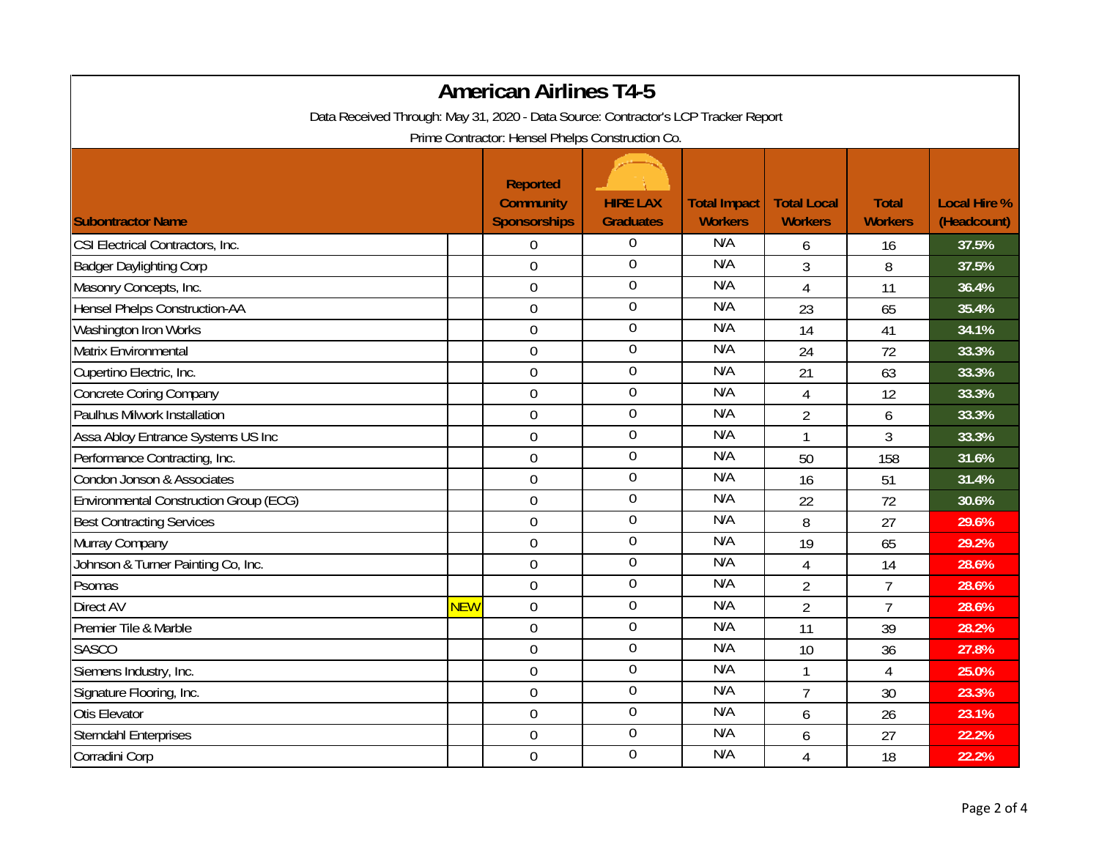| <b>American Airlines T4-5</b>                                                      |            |                                                            |                                     |                                       |                                      |                                |                                    |
|------------------------------------------------------------------------------------|------------|------------------------------------------------------------|-------------------------------------|---------------------------------------|--------------------------------------|--------------------------------|------------------------------------|
| Data Received Through: May 31, 2020 - Data Source: Contractor's LCP Tracker Report |            |                                                            |                                     |                                       |                                      |                                |                                    |
| Prime Contractor: Hensel Phelps Construction Co.                                   |            |                                                            |                                     |                                       |                                      |                                |                                    |
| <b>Subontractor Name</b>                                                           |            | <b>Reported</b><br><b>Community</b><br><b>Sponsorships</b> | <b>HIRE LAX</b><br><b>Graduates</b> | <b>Total Impact</b><br><b>Workers</b> | <b>Total Local</b><br><b>Workers</b> | <b>Total</b><br><b>Workers</b> | <b>Local Hire %</b><br>(Headcount) |
| CSI Electrical Contractors, Inc.                                                   |            | $\boldsymbol{0}$                                           | 0                                   | N/A                                   | 6                                    | 16                             | 37.5%                              |
| <b>Badger Daylighting Corp</b>                                                     |            | $\overline{0}$                                             | $\mathbf 0$                         | N/A                                   | 3                                    | 8                              | 37.5%                              |
| Masonry Concepts, Inc.                                                             |            | $\overline{0}$                                             | $\overline{0}$                      | N/A                                   | $\overline{4}$                       | 11                             | 36.4%                              |
| <b>Hensel Phelps Construction-AA</b>                                               |            | $\mathbf 0$                                                | $\boldsymbol{0}$                    | N/A                                   | 23                                   | 65                             | 35.4%                              |
| Washington Iron Works                                                              |            | $\mathbf 0$                                                | $\boldsymbol{0}$                    | N/A                                   | 14                                   | 41                             | 34.1%                              |
| Matrix Environmental                                                               |            | $\boldsymbol{0}$                                           | $\mathbf 0$                         | N/A                                   | 24                                   | 72                             | 33.3%                              |
| Cupertino Electric, Inc.                                                           |            | $\boldsymbol{0}$                                           | $\boldsymbol{0}$                    | N/A                                   | 21                                   | 63                             | 33.3%                              |
| <b>Concrete Coring Company</b>                                                     |            | $\boldsymbol{0}$                                           | $\boldsymbol{0}$                    | N/A                                   | $\overline{4}$                       | 12                             | 33.3%                              |
| Paulhus Milwork Installation                                                       |            | $\boldsymbol{0}$                                           | $\overline{0}$                      | N/A                                   | $\overline{2}$                       | 6                              | 33.3%                              |
| Assa Abloy Entrance Systems US Inc                                                 |            | $\mathbf 0$                                                | $\overline{0}$                      | N/A                                   | $\mathbf{1}$                         | 3                              | 33.3%                              |
| Performance Contracting, Inc.                                                      |            | $\boldsymbol{0}$                                           | $\mathbf 0$                         | N/A                                   | 50                                   | 158                            | 31.6%                              |
| Condon Jonson & Associates                                                         |            | $\boldsymbol{0}$                                           | $\boldsymbol{0}$                    | N/A                                   | 16                                   | 51                             | 31.4%                              |
| Environmental Construction Group (ECG)                                             |            | $\mathbf 0$                                                | $\mathbf 0$                         | N/A                                   | 22                                   | 72                             | 30.6%                              |
| <b>Best Contracting Services</b>                                                   |            | $\boldsymbol{0}$                                           | $\boldsymbol{0}$                    | N/A                                   | 8                                    | 27                             | 29.6%                              |
| Murray Company                                                                     |            | $\mathbf 0$                                                | $\overline{0}$                      | N/A                                   | 19                                   | 65                             | 29.2%                              |
| Johnson & Turner Painting Co, Inc.                                                 |            | $\mathbf 0$                                                | $\boldsymbol{0}$                    | N/A                                   | $\overline{4}$                       | 14                             | 28.6%                              |
| Psomas                                                                             |            | $\overline{0}$                                             | $\mathbf 0$                         | N/A                                   | $\overline{2}$                       | $\overline{7}$                 | 28.6%                              |
| Direct AV                                                                          | <b>NEW</b> | $\mathbf 0$                                                | $\boldsymbol{0}$                    | N/A                                   | $\overline{2}$                       | $\overline{7}$                 | 28.6%                              |
| Premier Tile & Marble                                                              |            | $\boldsymbol{0}$                                           | $\mathbf 0$                         | N/A                                   | 11                                   | 39                             | 28.2%                              |
| <b>SASCO</b>                                                                       |            | $\overline{0}$                                             | $\boldsymbol{0}$                    | N/A                                   | 10                                   | 36                             | 27.8%                              |
| Siemens Industry, Inc.                                                             |            | $\boldsymbol{0}$                                           | $\boldsymbol{0}$                    | N/A                                   |                                      | 4                              | 25.0%                              |
| Signature Flooring, Inc.                                                           |            | $\boldsymbol{0}$                                           | $\boldsymbol{0}$                    | N/A                                   | $\overline{7}$                       | 30                             | 23.3%                              |
| Otis Elevator                                                                      |            | $\boldsymbol{0}$                                           | $\overline{0}$                      | N/A                                   | 6                                    | 26                             | 23.1%                              |
| <b>Sterndahl Enterprises</b>                                                       |            | $\mathbf 0$                                                | $\overline{0}$                      | N/A                                   | 6                                    | 27                             | 22.2%                              |
| Corradini Corp                                                                     |            | $\mathbf 0$                                                | $\overline{0}$                      | N/A                                   | $\overline{4}$                       | 18                             | 22.2%                              |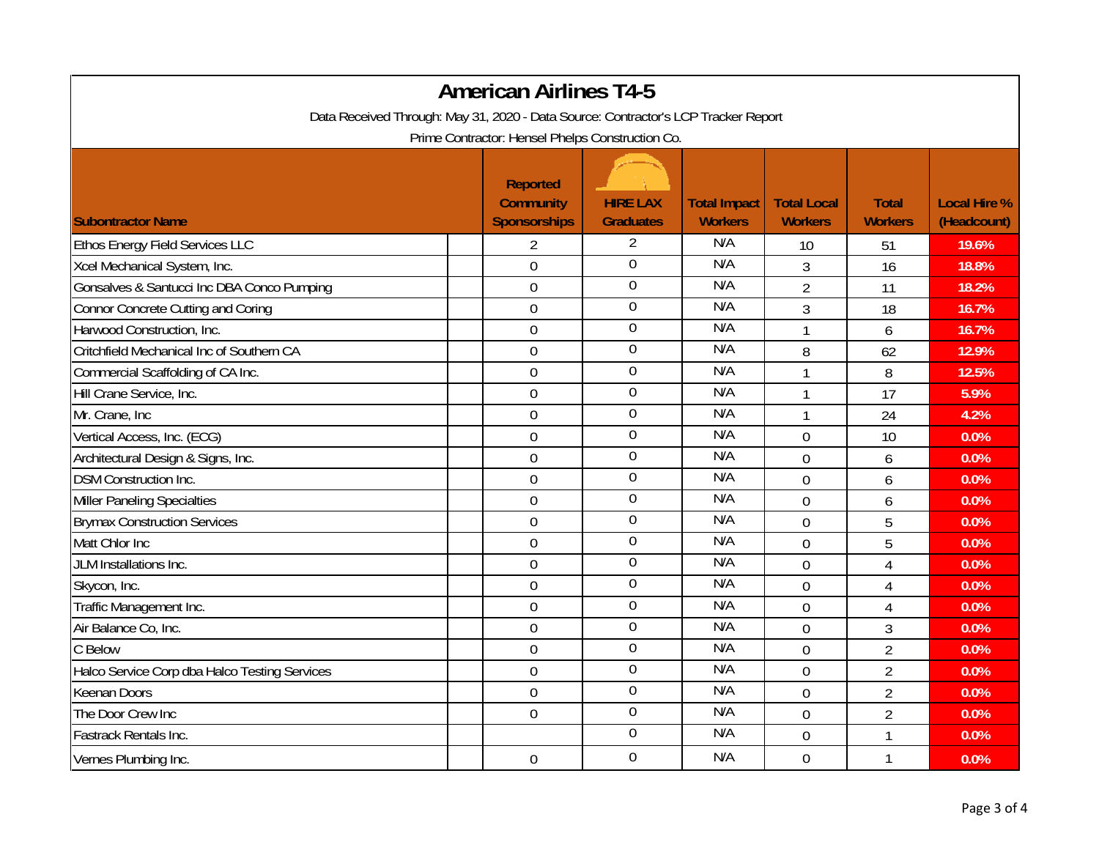| <b>American Airlines T4-5</b><br>Data Received Through: May 31, 2020 - Data Source: Contractor's LCP Tracker Report |                                         |                                     |                                       |                                      |                                |                                    |  |
|---------------------------------------------------------------------------------------------------------------------|-----------------------------------------|-------------------------------------|---------------------------------------|--------------------------------------|--------------------------------|------------------------------------|--|
|                                                                                                                     |                                         |                                     |                                       |                                      |                                |                                    |  |
|                                                                                                                     | <b>Reported</b>                         |                                     |                                       |                                      |                                |                                    |  |
| <b>Subontractor Name</b>                                                                                            | <b>Community</b><br><b>Sponsorships</b> | <b>HIRE LAX</b><br><b>Graduates</b> | <b>Total Impact</b><br><b>Workers</b> | <b>Total Local</b><br><b>Workers</b> | <b>Total</b><br><b>Workers</b> | <b>Local Hire %</b><br>(Headcount) |  |
| <b>Ethos Energy Field Services LLC</b>                                                                              | $\overline{2}$                          | $\overline{2}$                      | N/A                                   | 10                                   | 51                             | 19.6%                              |  |
| Xcel Mechanical System, Inc.                                                                                        | $\overline{0}$                          | $\boldsymbol{0}$                    | N/A                                   | 3                                    | 16                             | 18.8%                              |  |
| Gonsalves & Santucci Inc DBA Conco Pumping                                                                          | $\boldsymbol{0}$                        | $\overline{0}$                      | N/A                                   | $\overline{2}$                       | 11                             | 18.2%                              |  |
| Connor Concrete Cutting and Coring                                                                                  | $\mathbf 0$                             | $\overline{0}$                      | N/A                                   | 3                                    | 18                             | 16.7%                              |  |
| Harwood Construction, Inc.                                                                                          | $\mathbf 0$                             | $\boldsymbol{0}$                    | N/A                                   | $\mathbf{1}$                         | 6                              | 16.7%                              |  |
| Critchfield Mechanical Inc of Southern CA                                                                           | $\overline{0}$                          | 0                                   | N/A                                   | 8                                    | 62                             | 12.9%                              |  |
| Commercial Scaffolding of CA Inc.                                                                                   | $\boldsymbol{0}$                        | $\boldsymbol{0}$                    | N/A                                   | $\mathbf{1}$                         | 8                              | 12.5%                              |  |
| Hill Crane Service, Inc.                                                                                            | $\overline{0}$                          | $\boldsymbol{0}$                    | N/A                                   | $\mathbf{1}$                         | 17                             | 5.9%                               |  |
| Mr. Crane, Inc                                                                                                      | 0                                       | $\boldsymbol{0}$                    | N/A                                   | $\mathbf{1}$                         | 24                             | 4.2%                               |  |
| Vertical Access, Inc. (ECG)                                                                                         | $\overline{0}$                          | $\overline{0}$                      | N/A                                   | $\overline{0}$                       | 10                             | 0.0%                               |  |
| Architectural Design & Signs, Inc.                                                                                  | $\mathbf 0$                             | $\boldsymbol{0}$                    | N/A                                   | $\mathbf 0$                          | 6                              | 0.0%                               |  |
| <b>DSM Construction Inc.</b>                                                                                        | $\overline{0}$                          | $\boldsymbol{0}$                    | N/A                                   | $\overline{0}$                       | 6                              | 0.0%                               |  |
| Miller Paneling Specialties                                                                                         | 0                                       | $\mathbf 0$                         | N/A                                   | $\overline{0}$                       | 6                              | 0.0%                               |  |
| <b>Brymax Construction Services</b>                                                                                 | $\mathbf 0$                             | $\overline{0}$                      | N/A                                   | $\overline{0}$                       | 5                              | 0.0%                               |  |
| Matt Chlor Inc                                                                                                      | $\boldsymbol{0}$                        | $\mathbf 0$                         | N/A                                   | $\mathbf 0$                          | 5                              | 0.0%                               |  |
| JLM Installations Inc.                                                                                              | $\mathbf 0$                             | $\mathbf 0$                         | N/A                                   | $\mathbf 0$                          | $\overline{4}$                 | 0.0%                               |  |
| Skycon, Inc.                                                                                                        | $\overline{0}$                          | $\mathbf 0$                         | N/A                                   | $\overline{0}$                       | 4                              | 0.0%                               |  |
| Traffic Management Inc.                                                                                             | $\mathbf 0$                             | $\boldsymbol{0}$                    | N/A                                   | $\overline{0}$                       | $\overline{4}$                 | 0.0%                               |  |
| Air Balance Co, Inc.                                                                                                | $\boldsymbol{0}$                        | $\mathbf 0$                         | N/A                                   | $\overline{0}$                       | $\mathfrak{Z}$                 | 0.0%                               |  |
| C Below                                                                                                             | $\overline{0}$                          | $\boldsymbol{0}$                    | N/A                                   | $\overline{0}$                       | $\overline{2}$                 | 0.0%                               |  |
| Halco Service Corp dba Halco Testing Services                                                                       | $\mathbf 0$                             | $\overline{0}$                      | N/A                                   | 0                                    | $\overline{2}$                 | 0.0%                               |  |
| <b>Keenan Doors</b>                                                                                                 | $\overline{0}$                          | $\boldsymbol{0}$                    | N/A                                   | $\overline{0}$                       | $\overline{2}$                 | 0.0%                               |  |
| The Door Crew Inc                                                                                                   | $\overline{0}$                          | $\boldsymbol{0}$                    | N/A                                   | $\mathbf 0$                          | $\overline{2}$                 | 0.0%                               |  |
| <b>Fastrack Rentals Inc.</b>                                                                                        |                                         | $\boldsymbol{0}$                    | N/A                                   | $\mathbf 0$                          | $\mathbf{1}$                   | 0.0%                               |  |
| Vernes Plumbing Inc.                                                                                                | $\overline{0}$                          | $\overline{0}$                      | N/A                                   | $\overline{0}$                       | $\mathbf{1}$                   | 0.0%                               |  |